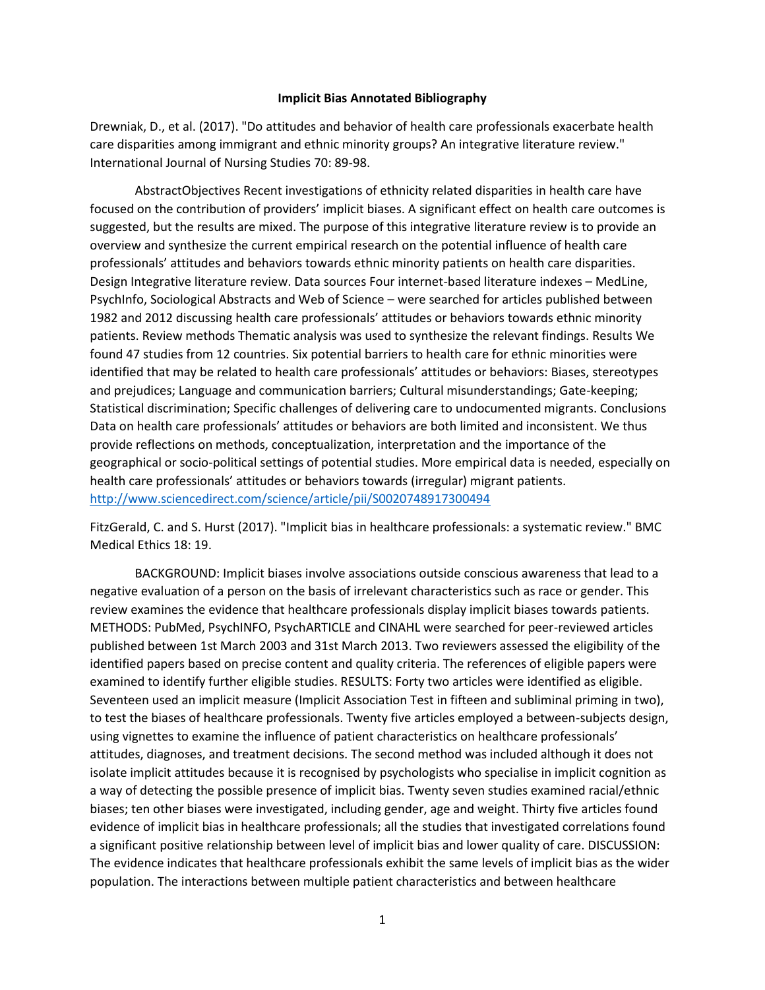## **Implicit Bias Annotated Bibliography**

Drewniak, D., et al. (2017). "Do attitudes and behavior of health care professionals exacerbate health care disparities among immigrant and ethnic minority groups? An integrative literature review." International Journal of Nursing Studies 70: 89-98.

AbstractObjectives Recent investigations of ethnicity related disparities in health care have focused on the contribution of providers' implicit biases. A significant effect on health care outcomes is suggested, but the results are mixed. The purpose of this integrative literature review is to provide an overview and synthesize the current empirical research on the potential influence of health care professionals' attitudes and behaviors towards ethnic minority patients on health care disparities. Design Integrative literature review. Data sources Four internet-based literature indexes – MedLine, PsychInfo, Sociological Abstracts and Web of Science – were searched for articles published between 1982 and 2012 discussing health care professionals' attitudes or behaviors towards ethnic minority patients. Review methods Thematic analysis was used to synthesize the relevant findings. Results We found 47 studies from 12 countries. Six potential barriers to health care for ethnic minorities were identified that may be related to health care professionals' attitudes or behaviors: Biases, stereotypes and prejudices; Language and communication barriers; Cultural misunderstandings; Gate-keeping; Statistical discrimination; Specific challenges of delivering care to undocumented migrants. Conclusions Data on health care professionals' attitudes or behaviors are both limited and inconsistent. We thus provide reflections on methods, conceptualization, interpretation and the importance of the geographical or socio-political settings of potential studies. More empirical data is needed, especially on health care professionals' attitudes or behaviors towards (irregular) migrant patients. <http://www.sciencedirect.com/science/article/pii/S0020748917300494>

FitzGerald, C. and S. Hurst (2017). "Implicit bias in healthcare professionals: a systematic review." BMC Medical Ethics 18: 19.

BACKGROUND: Implicit biases involve associations outside conscious awareness that lead to a negative evaluation of a person on the basis of irrelevant characteristics such as race or gender. This review examines the evidence that healthcare professionals display implicit biases towards patients. METHODS: PubMed, PsychINFO, PsychARTICLE and CINAHL were searched for peer-reviewed articles published between 1st March 2003 and 31st March 2013. Two reviewers assessed the eligibility of the identified papers based on precise content and quality criteria. The references of eligible papers were examined to identify further eligible studies. RESULTS: Forty two articles were identified as eligible. Seventeen used an implicit measure (Implicit Association Test in fifteen and subliminal priming in two), to test the biases of healthcare professionals. Twenty five articles employed a between-subjects design, using vignettes to examine the influence of patient characteristics on healthcare professionals' attitudes, diagnoses, and treatment decisions. The second method was included although it does not isolate implicit attitudes because it is recognised by psychologists who specialise in implicit cognition as a way of detecting the possible presence of implicit bias. Twenty seven studies examined racial/ethnic biases; ten other biases were investigated, including gender, age and weight. Thirty five articles found evidence of implicit bias in healthcare professionals; all the studies that investigated correlations found a significant positive relationship between level of implicit bias and lower quality of care. DISCUSSION: The evidence indicates that healthcare professionals exhibit the same levels of implicit bias as the wider population. The interactions between multiple patient characteristics and between healthcare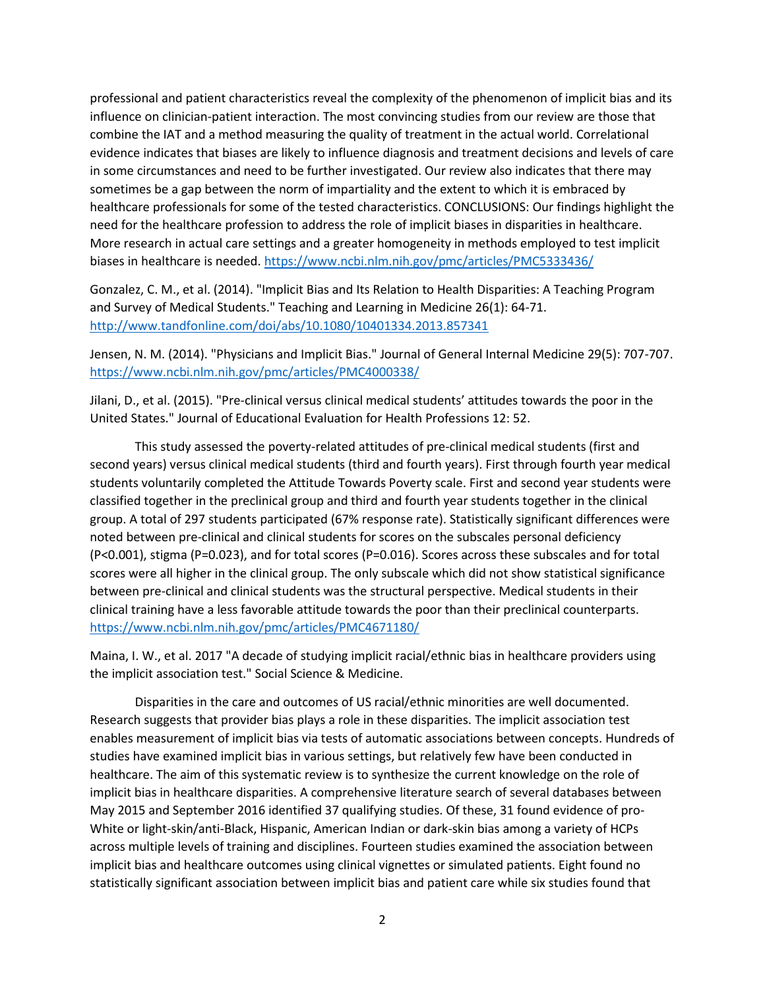professional and patient characteristics reveal the complexity of the phenomenon of implicit bias and its influence on clinician-patient interaction. The most convincing studies from our review are those that combine the IAT and a method measuring the quality of treatment in the actual world. Correlational evidence indicates that biases are likely to influence diagnosis and treatment decisions and levels of care in some circumstances and need to be further investigated. Our review also indicates that there may sometimes be a gap between the norm of impartiality and the extent to which it is embraced by healthcare professionals for some of the tested characteristics. CONCLUSIONS: Our findings highlight the need for the healthcare profession to address the role of implicit biases in disparities in healthcare. More research in actual care settings and a greater homogeneity in methods employed to test implicit biases in healthcare is needed[. https://www.ncbi.nlm.nih.gov/pmc/articles/PMC5333436/](https://www.ncbi.nlm.nih.gov/pmc/articles/PMC5333436/)

Gonzalez, C. M., et al. (2014). "Implicit Bias and Its Relation to Health Disparities: A Teaching Program and Survey of Medical Students." Teaching and Learning in Medicine 26(1): 64-71. <http://www.tandfonline.com/doi/abs/10.1080/10401334.2013.857341>

Jensen, N. M. (2014). "Physicians and Implicit Bias." Journal of General Internal Medicine 29(5): 707-707. <https://www.ncbi.nlm.nih.gov/pmc/articles/PMC4000338/>

Jilani, D., et al. (2015). "Pre-clinical versus clinical medical students' attitudes towards the poor in the United States." Journal of Educational Evaluation for Health Professions 12: 52.

This study assessed the poverty-related attitudes of pre-clinical medical students (first and second years) versus clinical medical students (third and fourth years). First through fourth year medical students voluntarily completed the Attitude Towards Poverty scale. First and second year students were classified together in the preclinical group and third and fourth year students together in the clinical group. A total of 297 students participated (67% response rate). Statistically significant differences were noted between pre-clinical and clinical students for scores on the subscales personal deficiency (P<0.001), stigma (P=0.023), and for total scores (P=0.016). Scores across these subscales and for total scores were all higher in the clinical group. The only subscale which did not show statistical significance between pre-clinical and clinical students was the structural perspective. Medical students in their clinical training have a less favorable attitude towards the poor than their preclinical counterparts. <https://www.ncbi.nlm.nih.gov/pmc/articles/PMC4671180/>

Maina, I. W., et al. 2017 "A decade of studying implicit racial/ethnic bias in healthcare providers using the implicit association test." Social Science & Medicine.

Disparities in the care and outcomes of US racial/ethnic minorities are well documented. Research suggests that provider bias plays a role in these disparities. The implicit association test enables measurement of implicit bias via tests of automatic associations between concepts. Hundreds of studies have examined implicit bias in various settings, but relatively few have been conducted in healthcare. The aim of this systematic review is to synthesize the current knowledge on the role of implicit bias in healthcare disparities. A comprehensive literature search of several databases between May 2015 and September 2016 identified 37 qualifying studies. Of these, 31 found evidence of pro-White or light-skin/anti-Black, Hispanic, American Indian or dark-skin bias among a variety of HCPs across multiple levels of training and disciplines. Fourteen studies examined the association between implicit bias and healthcare outcomes using clinical vignettes or simulated patients. Eight found no statistically significant association between implicit bias and patient care while six studies found that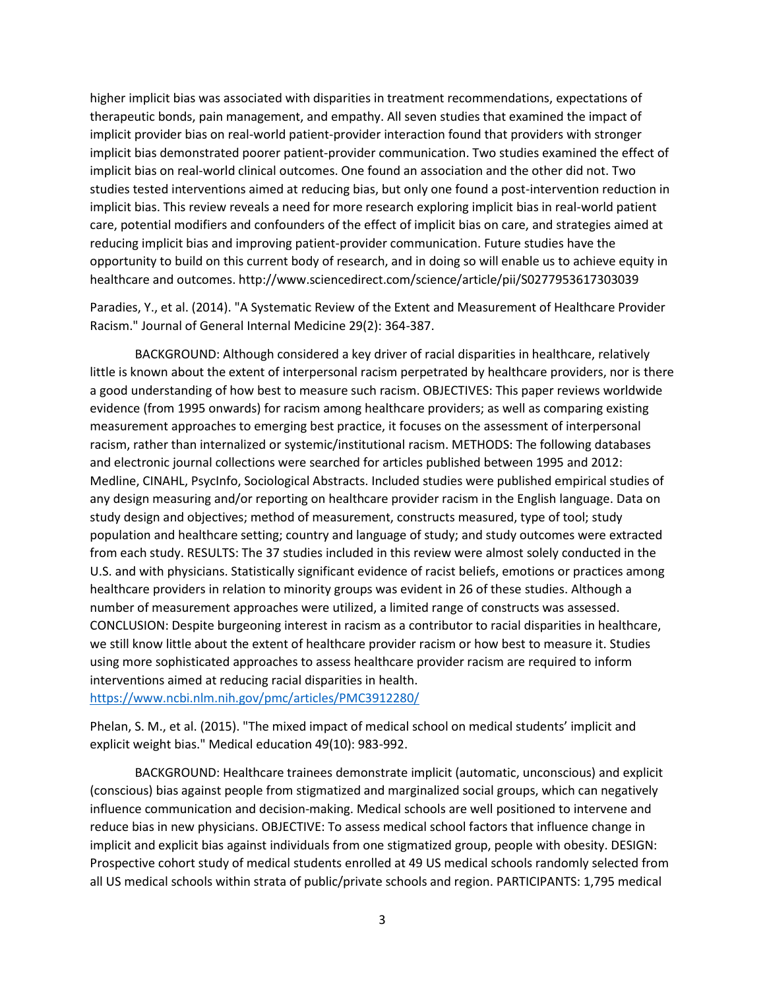higher implicit bias was associated with disparities in treatment recommendations, expectations of therapeutic bonds, pain management, and empathy. All seven studies that examined the impact of implicit provider bias on real-world patient-provider interaction found that providers with stronger implicit bias demonstrated poorer patient-provider communication. Two studies examined the effect of implicit bias on real-world clinical outcomes. One found an association and the other did not. Two studies tested interventions aimed at reducing bias, but only one found a post-intervention reduction in implicit bias. This review reveals a need for more research exploring implicit bias in real-world patient care, potential modifiers and confounders of the effect of implicit bias on care, and strategies aimed at reducing implicit bias and improving patient-provider communication. Future studies have the opportunity to build on this current body of research, and in doing so will enable us to achieve equity in healthcare and outcomes. http://www.sciencedirect.com/science/article/pii/S0277953617303039

Paradies, Y., et al. (2014). "A Systematic Review of the Extent and Measurement of Healthcare Provider Racism." Journal of General Internal Medicine 29(2): 364-387.

BACKGROUND: Although considered a key driver of racial disparities in healthcare, relatively little is known about the extent of interpersonal racism perpetrated by healthcare providers, nor is there a good understanding of how best to measure such racism. OBJECTIVES: This paper reviews worldwide evidence (from 1995 onwards) for racism among healthcare providers; as well as comparing existing measurement approaches to emerging best practice, it focuses on the assessment of interpersonal racism, rather than internalized or systemic/institutional racism. METHODS: The following databases and electronic journal collections were searched for articles published between 1995 and 2012: Medline, CINAHL, PsycInfo, Sociological Abstracts. Included studies were published empirical studies of any design measuring and/or reporting on healthcare provider racism in the English language. Data on study design and objectives; method of measurement, constructs measured, type of tool; study population and healthcare setting; country and language of study; and study outcomes were extracted from each study. RESULTS: The 37 studies included in this review were almost solely conducted in the U.S. and with physicians. Statistically significant evidence of racist beliefs, emotions or practices among healthcare providers in relation to minority groups was evident in 26 of these studies. Although a number of measurement approaches were utilized, a limited range of constructs was assessed. CONCLUSION: Despite burgeoning interest in racism as a contributor to racial disparities in healthcare, we still know little about the extent of healthcare provider racism or how best to measure it. Studies using more sophisticated approaches to assess healthcare provider racism are required to inform interventions aimed at reducing racial disparities in health.

<https://www.ncbi.nlm.nih.gov/pmc/articles/PMC3912280/>

Phelan, S. M., et al. (2015). "The mixed impact of medical school on medical students' implicit and explicit weight bias." Medical education 49(10): 983-992.

BACKGROUND: Healthcare trainees demonstrate implicit (automatic, unconscious) and explicit (conscious) bias against people from stigmatized and marginalized social groups, which can negatively influence communication and decision-making. Medical schools are well positioned to intervene and reduce bias in new physicians. OBJECTIVE: To assess medical school factors that influence change in implicit and explicit bias against individuals from one stigmatized group, people with obesity. DESIGN: Prospective cohort study of medical students enrolled at 49 US medical schools randomly selected from all US medical schools within strata of public/private schools and region. PARTICIPANTS: 1,795 medical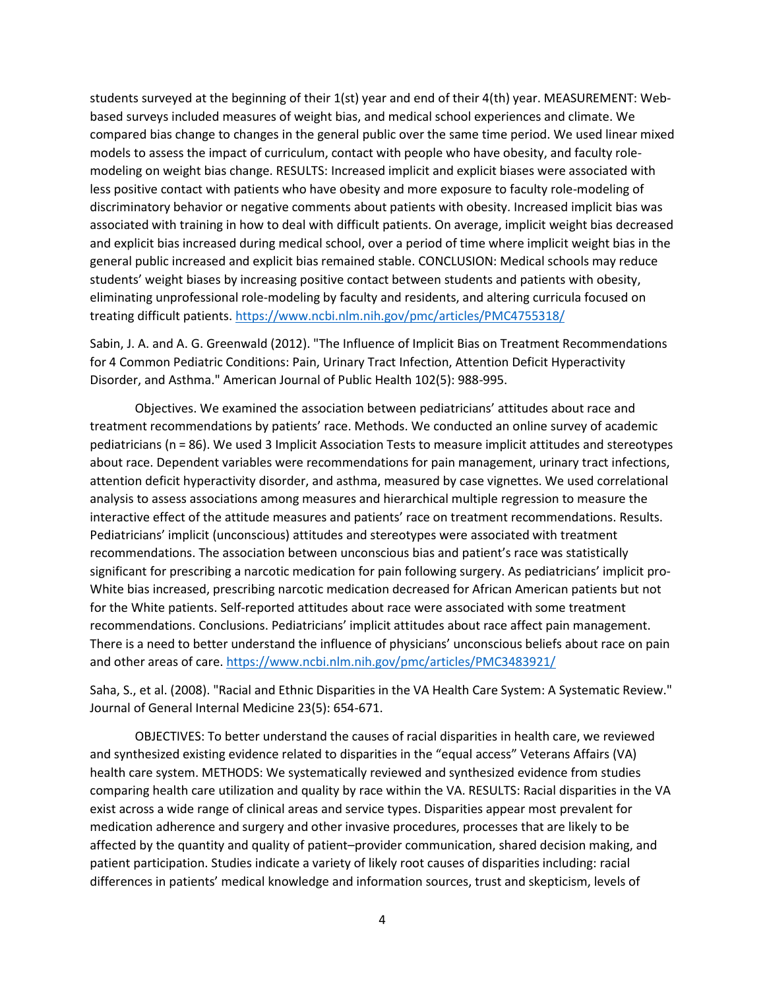students surveyed at the beginning of their 1(st) year and end of their 4(th) year. MEASUREMENT: Webbased surveys included measures of weight bias, and medical school experiences and climate. We compared bias change to changes in the general public over the same time period. We used linear mixed models to assess the impact of curriculum, contact with people who have obesity, and faculty rolemodeling on weight bias change. RESULTS: Increased implicit and explicit biases were associated with less positive contact with patients who have obesity and more exposure to faculty role-modeling of discriminatory behavior or negative comments about patients with obesity. Increased implicit bias was associated with training in how to deal with difficult patients. On average, implicit weight bias decreased and explicit bias increased during medical school, over a period of time where implicit weight bias in the general public increased and explicit bias remained stable. CONCLUSION: Medical schools may reduce students' weight biases by increasing positive contact between students and patients with obesity, eliminating unprofessional role-modeling by faculty and residents, and altering curricula focused on treating difficult patients[. https://www.ncbi.nlm.nih.gov/pmc/articles/PMC4755318/](https://www.ncbi.nlm.nih.gov/pmc/articles/PMC4755318/)

Sabin, J. A. and A. G. Greenwald (2012). "The Influence of Implicit Bias on Treatment Recommendations for 4 Common Pediatric Conditions: Pain, Urinary Tract Infection, Attention Deficit Hyperactivity Disorder, and Asthma." American Journal of Public Health 102(5): 988-995.

Objectives. We examined the association between pediatricians' attitudes about race and treatment recommendations by patients' race. Methods. We conducted an online survey of academic pediatricians (n = 86). We used 3 Implicit Association Tests to measure implicit attitudes and stereotypes about race. Dependent variables were recommendations for pain management, urinary tract infections, attention deficit hyperactivity disorder, and asthma, measured by case vignettes. We used correlational analysis to assess associations among measures and hierarchical multiple regression to measure the interactive effect of the attitude measures and patients' race on treatment recommendations. Results. Pediatricians' implicit (unconscious) attitudes and stereotypes were associated with treatment recommendations. The association between unconscious bias and patient's race was statistically significant for prescribing a narcotic medication for pain following surgery. As pediatricians' implicit pro-White bias increased, prescribing narcotic medication decreased for African American patients but not for the White patients. Self-reported attitudes about race were associated with some treatment recommendations. Conclusions. Pediatricians' implicit attitudes about race affect pain management. There is a need to better understand the influence of physicians' unconscious beliefs about race on pain and other areas of care.<https://www.ncbi.nlm.nih.gov/pmc/articles/PMC3483921/>

Saha, S., et al. (2008). "Racial and Ethnic Disparities in the VA Health Care System: A Systematic Review." Journal of General Internal Medicine 23(5): 654-671.

OBJECTIVES: To better understand the causes of racial disparities in health care, we reviewed and synthesized existing evidence related to disparities in the "equal access" Veterans Affairs (VA) health care system. METHODS: We systematically reviewed and synthesized evidence from studies comparing health care utilization and quality by race within the VA. RESULTS: Racial disparities in the VA exist across a wide range of clinical areas and service types. Disparities appear most prevalent for medication adherence and surgery and other invasive procedures, processes that are likely to be affected by the quantity and quality of patient–provider communication, shared decision making, and patient participation. Studies indicate a variety of likely root causes of disparities including: racial differences in patients' medical knowledge and information sources, trust and skepticism, levels of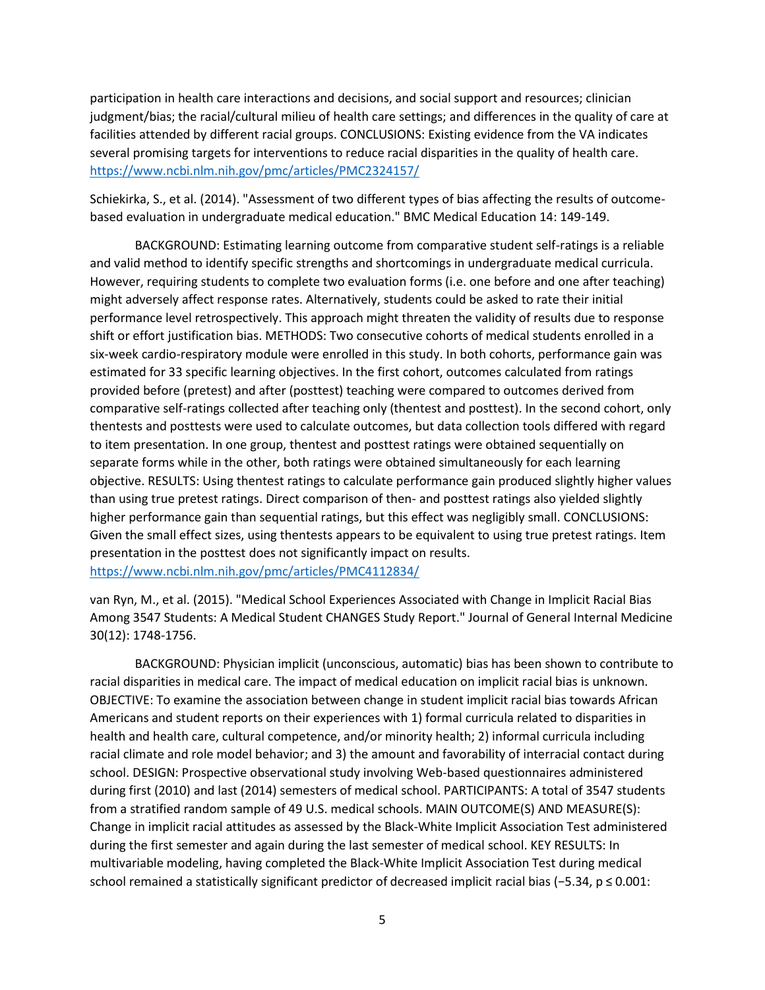participation in health care interactions and decisions, and social support and resources; clinician judgment/bias; the racial/cultural milieu of health care settings; and differences in the quality of care at facilities attended by different racial groups. CONCLUSIONS: Existing evidence from the VA indicates several promising targets for interventions to reduce racial disparities in the quality of health care. <https://www.ncbi.nlm.nih.gov/pmc/articles/PMC2324157/>

Schiekirka, S., et al. (2014). "Assessment of two different types of bias affecting the results of outcomebased evaluation in undergraduate medical education." BMC Medical Education 14: 149-149.

BACKGROUND: Estimating learning outcome from comparative student self-ratings is a reliable and valid method to identify specific strengths and shortcomings in undergraduate medical curricula. However, requiring students to complete two evaluation forms (i.e. one before and one after teaching) might adversely affect response rates. Alternatively, students could be asked to rate their initial performance level retrospectively. This approach might threaten the validity of results due to response shift or effort justification bias. METHODS: Two consecutive cohorts of medical students enrolled in a six-week cardio-respiratory module were enrolled in this study. In both cohorts, performance gain was estimated for 33 specific learning objectives. In the first cohort, outcomes calculated from ratings provided before (pretest) and after (posttest) teaching were compared to outcomes derived from comparative self-ratings collected after teaching only (thentest and posttest). In the second cohort, only thentests and posttests were used to calculate outcomes, but data collection tools differed with regard to item presentation. In one group, thentest and posttest ratings were obtained sequentially on separate forms while in the other, both ratings were obtained simultaneously for each learning objective. RESULTS: Using thentest ratings to calculate performance gain produced slightly higher values than using true pretest ratings. Direct comparison of then- and posttest ratings also yielded slightly higher performance gain than sequential ratings, but this effect was negligibly small. CONCLUSIONS: Given the small effect sizes, using thentests appears to be equivalent to using true pretest ratings. Item presentation in the posttest does not significantly impact on results. <https://www.ncbi.nlm.nih.gov/pmc/articles/PMC4112834/>

van Ryn, M., et al. (2015). "Medical School Experiences Associated with Change in Implicit Racial Bias Among 3547 Students: A Medical Student CHANGES Study Report." Journal of General Internal Medicine 30(12): 1748-1756.

BACKGROUND: Physician implicit (unconscious, automatic) bias has been shown to contribute to racial disparities in medical care. The impact of medical education on implicit racial bias is unknown. OBJECTIVE: To examine the association between change in student implicit racial bias towards African Americans and student reports on their experiences with 1) formal curricula related to disparities in health and health care, cultural competence, and/or minority health; 2) informal curricula including racial climate and role model behavior; and 3) the amount and favorability of interracial contact during school. DESIGN: Prospective observational study involving Web-based questionnaires administered during first (2010) and last (2014) semesters of medical school. PARTICIPANTS: A total of 3547 students from a stratified random sample of 49 U.S. medical schools. MAIN OUTCOME(S) AND MEASURE(S): Change in implicit racial attitudes as assessed by the Black-White Implicit Association Test administered during the first semester and again during the last semester of medical school. KEY RESULTS: In multivariable modeling, having completed the Black-White Implicit Association Test during medical school remained a statistically significant predictor of decreased implicit racial bias (−5.34, p ≤ 0.001: